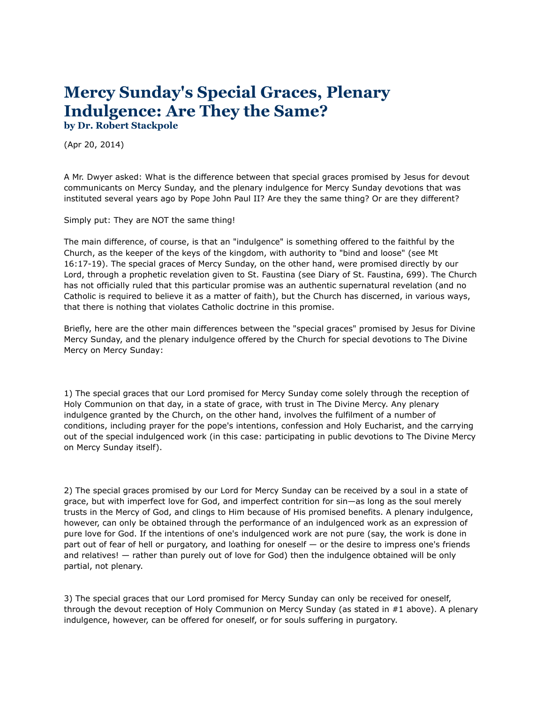## **[Mercy Sunday's Special Graces, Plenary](http://www.catholic.net/index.php?option=dedestaca&id=9932)  Indulgence: Are They the Same? by Dr. Robert Stackpole**

(Apr 20, 2014)

A Mr. Dwyer asked: What is the difference between that special graces promised by Jesus for devout communicants on Mercy Sunday, and the plenary indulgence for Mercy Sunday devotions that was instituted several years ago by Pope John Paul II? Are they the same thing? Or are they different?

Simply put: They are NOT the same thing!

The main difference, of course, is that an "indulgence" is something offered to the faithful by the Church, as the keeper of the keys of the kingdom, with authority to "bind and loose" (see Mt 16:17-19). The special graces of Mercy Sunday, on the other hand, were promised directly by our Lord, through a prophetic revelation given to St. Faustina (see Diary of St. Faustina, 699). The Church has not officially ruled that this particular promise was an authentic supernatural revelation (and no Catholic is required to believe it as a matter of faith), but the Church has discerned, in various ways, that there is nothing that violates Catholic doctrine in this promise.

Briefly, here are the other main differences between the "special graces" promised by Jesus for Divine Mercy Sunday, and the plenary indulgence offered by the Church for special devotions to The Divine Mercy on Mercy Sunday:

1) The special graces that our Lord promised for Mercy Sunday come solely through the reception of Holy Communion on that day, in a state of grace, with trust in The Divine Mercy. Any plenary indulgence granted by the Church, on the other hand, involves the fulfilment of a number of conditions, including prayer for the pope's intentions, confession and Holy Eucharist, and the carrying out of the special indulgenced work (in this case: participating in public devotions to The Divine Mercy on Mercy Sunday itself).

2) The special graces promised by our Lord for Mercy Sunday can be received by a soul in a state of grace, but with imperfect love for God, and imperfect contrition for sin—as long as the soul merely trusts in the Mercy of God, and clings to Him because of His promised benefits. A plenary indulgence, however, can only be obtained through the performance of an indulgenced work as an expression of pure love for God. If the intentions of one's indulgenced work are not pure (say, the work is done in part out of fear of hell or purgatory, and loathing for oneself — or the desire to impress one's friends and relatives! — rather than purely out of love for God) then the indulgence obtained will be only partial, not plenary.

3) The special graces that our Lord promised for Mercy Sunday can only be received for oneself, through the devout reception of Holy Communion on Mercy Sunday (as stated in #1 above). A plenary indulgence, however, can be offered for oneself, or for souls suffering in purgatory.